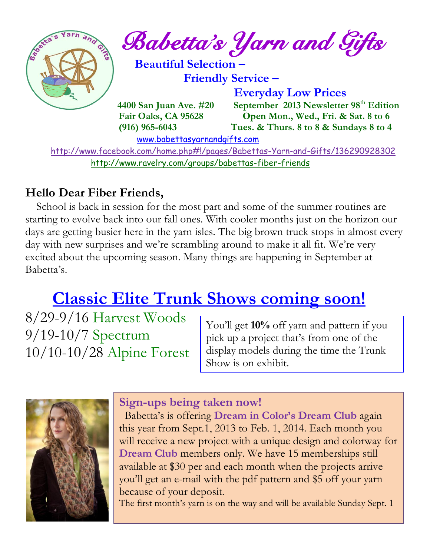

<http://www.ravelry.com/groups/babettas-fiber-friends>

#### **Hello Dear Fiber Friends,**

 School is back in session for the most part and some of the summer routines are starting to evolve back into our fall ones. With cooler months just on the horizon our days are getting busier here in the yarn isles. The big brown truck stops in almost every day with new surprises and we're scrambling around to make it all fit. We're very excited about the upcoming season. Many things are happening in September at Babetta's.

## **Classic Elite Trunk Shows coming soon!**

8/29-9/16 Harvest Woods 9/19-10/7 Spectrum 10/10-10/28 Alpine Forest

You'll get **10%** off yarn and pattern if you pick up a project that's from one of the display models during the time the Trunk Show is on exhibit.



#### **Sign-ups being taken now!**

 Babetta's is offering **Dream in Color's Dream Club** again this year from Sept.1, 2013 to Feb. 1, 2014. Each month you will receive a new project with a unique design and colorway for **Dream Club** members only. We have 15 memberships still available at \$30 per and each month when the projects arrive you'll get an e-mail with the pdf pattern and \$5 off your yarn because of your deposit.

The first month's yarn is on the way and will be available Sunday Sept. 1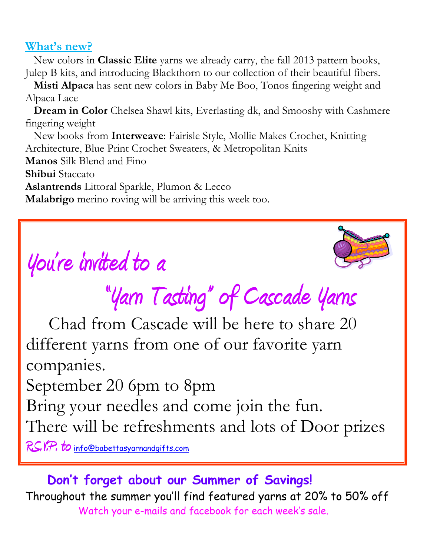#### **What's new?**

 New colors in **Classic Elite** yarns we already carry, the fall 2013 pattern books, Julep B kits, and introducing Blackthorn to our collection of their beautiful fibers.

 **Misti Alpaca** has sent new colors in Baby Me Boo, Tonos fingering weight and Alpaca Lace

 **Dream in Color** Chelsea Shawl kits, Everlasting dk, and Smooshy with Cashmere fingering weight

 New books from **Interweave**: Fairisle Style, Mollie Makes Crochet, Knitting Architecture, Blue Print Crochet Sweaters, & Metropolitan Knits **Manos** Silk Blend and Fino **Shibui** Staccato **Aslantrends** Littoral Sparkle, Plumon & Lecco **Malabrigo** merino roving will be arriving this week too.





# **"Yarn Tasting" of Cascade Yarns**

 Chad from Cascade will be here to share 20 different yarns from one of our favorite yarn companies.

September 20 6pm to 8pm

Bring your needles and come join the fun.

There will be refreshments and lots of Door prizes

R.S.V.<del>P.</del> to [info@babettasyarnandgifts.com](mailto:info@babettasyarnandgifts.com)

### **Don't forget about our Summer of Savings!**

Throughout the summer you'll find featured yarns at 20% to 50% off Watch your e-mails and facebook for each week's sale.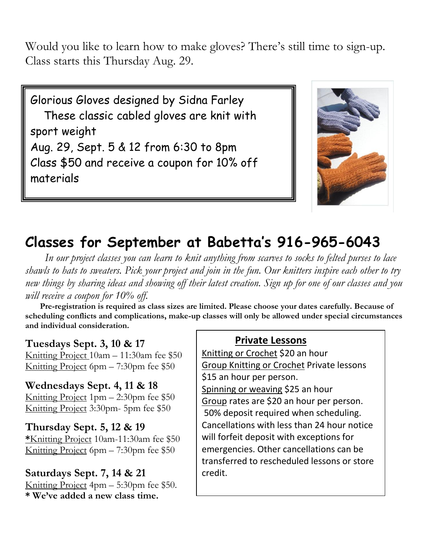Would you like to learn how to make gloves? There's still time to sign-up. Class starts this Thursday Aug. 29.

Glorious Gloves designed by Sidna Farley These classic cabled gloves are knit with sport weight Aug. 29, Sept. 5 & 12 from 6:30 to 8pm Class \$50 and receive a coupon for 10% off materials



## **Classes for September at Babetta's 916-965-6043**

 *In our project classes you can learn to knit anything from scarves to socks to felted purses to lace shawls to hats to sweaters. Pick your project and join in the fun. Our knitters inspire each other to try new things by sharing ideas and showing off their latest creation. Sign up for one of our classes and you will receive a coupon for 10% off.*

 **Pre-registration is required as class sizes are limited. Please choose your dates carefully. Because of scheduling conflicts and complications, make-up classes will only be allowed under special circumstances and individual consideration.**

#### **Tuesdays Sept. 3, 10 & 17**

Knitting Project 10am – 11:30am fee \$50 Knitting Project 6pm – 7:30pm fee \$50

**Wednesdays Sept. 4, 11 & 18** Knitting Project 1pm – 2:30pm fee \$50 Knitting Project 3:30pm- 5pm fee \$50

#### **Thursday Sept. 5, 12 & 19**

**\***Knitting Project 10am-11:30am fee \$50 Knitting Project 6pm – 7:30pm fee \$50

#### **Saturdays Sept. 7, 14 & 21**

Knitting Project 4pm – 5:30pm fee \$50. **\* We've added a new class time.**

#### **Private Lessons**

Knitting or Crochet \$20 an hour Group Knitting or Crochet Private lessons \$15 an hour per person. Spinning or weaving \$25 an hour

Group rates are \$20 an hour per person. 50% deposit required when scheduling. Cancellations with less than 24 hour notice will forfeit deposit with exceptions for emergencies. Other cancellations can be transferred to rescheduled lessons or store credit.